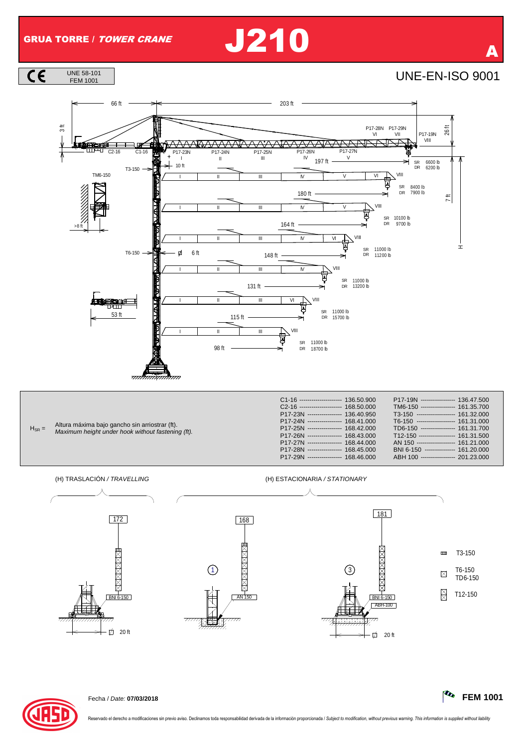UNE 58-101<br>FEM 1001

 $\overline{c}$ 

## GRUA TORRE / TOWER CRANE  $\bigcup$  210

## **UNE-EN-ISO 9001**



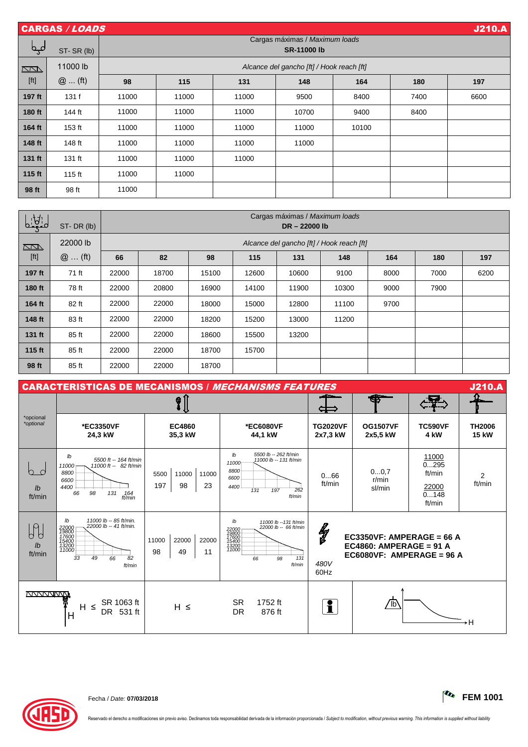| <b>J210.A</b><br><b>CARGAS / LOADS</b> |            |                                |                                           |       |       |       |      |      |  |  |  |  |
|----------------------------------------|------------|--------------------------------|-------------------------------------------|-------|-------|-------|------|------|--|--|--|--|
|                                        |            | Cargas máximas / Maximum loads |                                           |       |       |       |      |      |  |  |  |  |
| مہم                                    | ST-SR (lb) | <b>SR-11000 lb</b>             |                                           |       |       |       |      |      |  |  |  |  |
| $\sqrt{2}$                             | 11000 lb   |                                | Alcance del gancho [ft] / Hook reach [ft] |       |       |       |      |      |  |  |  |  |
| $[ft]$                                 | $@$ (ft)   | 98                             | 115                                       | 131   | 148   | 164   | 180  | 197  |  |  |  |  |
| 197 ft                                 | 131f       | 11000                          | 11000                                     | 11000 | 9500  | 8400  | 7400 | 6600 |  |  |  |  |
| 180 ft                                 | 144 ft     | 11000                          | 11000                                     | 11000 | 10700 | 9400  | 8400 |      |  |  |  |  |
| 164 ft                                 | 153 ft     | 11000                          | 11000                                     | 11000 | 11000 | 10100 |      |      |  |  |  |  |
| 148 ft                                 | 148 ft     | 11000                          | 11000                                     | 11000 | 11000 |       |      |      |  |  |  |  |
| 131 ft                                 | 131 ft     | 11000                          | 11000                                     | 11000 |       |       |      |      |  |  |  |  |
| 115 ft                                 | 115 $ft$   | 11000                          | 11000                                     |       |       |       |      |      |  |  |  |  |
| 98 ft                                  | 98 ft      | 11000                          |                                           |       |       |       |      |      |  |  |  |  |

| <u>Ligi</u> d                                                                                                                                                                                                         | ST-DR (lb)    | Cargas máximas / Maximum loads<br>$DR - 22000 lb$ |       |       |       |       |       |      |      |      |
|-----------------------------------------------------------------------------------------------------------------------------------------------------------------------------------------------------------------------|---------------|---------------------------------------------------|-------|-------|-------|-------|-------|------|------|------|
| $\Box$                                                                                                                                                                                                                | 22000 lb      | Alcance del gancho [ft] / Hook reach [ft]         |       |       |       |       |       |      |      |      |
| $[ft] % \begin{center} % \includegraphics[width=\linewidth]{imagesSupplemental_3.png} % \end{center} % \caption { % Our method is used for the method. % The method is used in the text. % } % \label{fig:example} %$ | $\omega$ (ft) | 66                                                | 82    | 98    | 115   | 131   | 148   | 164  | 180  | 197  |
| 197 ft                                                                                                                                                                                                                | 71 ft         | 22000                                             | 18700 | 15100 | 12600 | 10600 | 9100  | 8000 | 7000 | 6200 |
| 180 ft                                                                                                                                                                                                                | 78 ft         | 22000                                             | 20800 | 16900 | 14100 | 11900 | 10300 | 9000 | 7900 |      |
| 164 ft                                                                                                                                                                                                                | 82 ft         | 22000                                             | 22000 | 18000 | 15000 | 12800 | 11100 | 9700 |      |      |
| 148 ft                                                                                                                                                                                                                | 83 ft         | 22000                                             | 22000 | 18200 | 15200 | 13000 | 11200 |      |      |      |
| 131 ft                                                                                                                                                                                                                | 85 ft         | 22000                                             | 22000 | 18600 | 15500 | 13200 |       |      |      |      |
| 115 ft                                                                                                                                                                                                                | 85 ft         | 22000                                             | 22000 | 18700 | 15700 |       |       |      |      |      |
| 98 ft                                                                                                                                                                                                                 | 85 ft         | 22000                                             | 22000 | 18700 |       |       |       |      |      |      |

|                                  | <b>J210.A</b><br><b>CARACTERISTICAS DE MECANISMOS / MECHANISMS FEATURES</b>                                                                    |                                           |                                                                                                                                         |                             |                                                                                   |                                                    |                               |  |  |  |
|----------------------------------|------------------------------------------------------------------------------------------------------------------------------------------------|-------------------------------------------|-----------------------------------------------------------------------------------------------------------------------------------------|-----------------------------|-----------------------------------------------------------------------------------|----------------------------------------------------|-------------------------------|--|--|--|
|                                  |                                                                                                                                                |                                           | ФI                                                                                                                                      |                             |                                                                                   |                                                    |                               |  |  |  |
| *opcional<br>*optional           | *EC3350VF<br>24.3 kW                                                                                                                           | <b>EC4860</b><br>35.3 kW                  | *EC6080VF<br>44,1 kW                                                                                                                    | <b>TG2020VF</b><br>2x7,3 kW | <b>OG1507VF</b><br>2x5,5 kW                                                       | <b>TC590VF</b><br>4 kW                             | <b>TH2006</b><br><b>15 kW</b> |  |  |  |
| $\mathbf{I}$<br>ft/min           | lb<br>5500 ft -- 164 ft/min<br>11000 ft -- 82 ft/min<br>11000<br>8800<br>6600<br>4400<br>98<br>131<br>66<br>164<br>ft/min                      | 5500<br>11000<br>11000<br>197<br>98<br>23 | 5500 lb -- 262 ft/min<br>$\mathbf{I}$<br>11000 lb -- 131 ft/min<br>11000<br>8800<br>6600<br>4400<br>131<br>197<br>262<br>ft/min         | 066<br>ft/min               | 00.7<br>r/min<br>sl/min                                                           | 11000<br>0295<br>ft/min<br>22000<br>0148<br>ft/min | $\overline{2}$<br>ft/min      |  |  |  |
| H<br>h<br>$\mathbf{I}$<br>ft/min | 11000 lb -- 85 ft/min.<br>lb<br>22000 lb -- 41 ft/min.<br>22000<br>19800<br>17600<br>15400<br>13200<br>11000<br>33<br>49<br>82<br>66<br>ft/min | 22000<br>11000<br>22000<br>98<br>49<br>11 | lb<br>11000 lb --131 ft/min<br>22000 lb -- 66 ft/min<br>22000<br>19800<br>17600<br>15400<br>13200<br>11000<br>131<br>66<br>98<br>ft/min | łg<br>480V<br>60Hz          | EC3350VF: AMPERAGE = 66 A<br>EC4860: AMPERAGE = 91 A<br>EC6080VF: AMPERAGE = 96 A |                                                    |                               |  |  |  |
| <b>NYVYVWW</b>                   | SR 1063 ft<br>$H \leq$<br>DR 531 ft<br>H                                                                                                       | $H \leq$                                  | 1752 ft<br><b>SR</b><br><b>DR</b><br>876 ft                                                                                             | f.                          | 'lb                                                                               |                                                    | ۰H                            |  |  |  |



Fecha / Date: **07/03/2018 FEM 1001**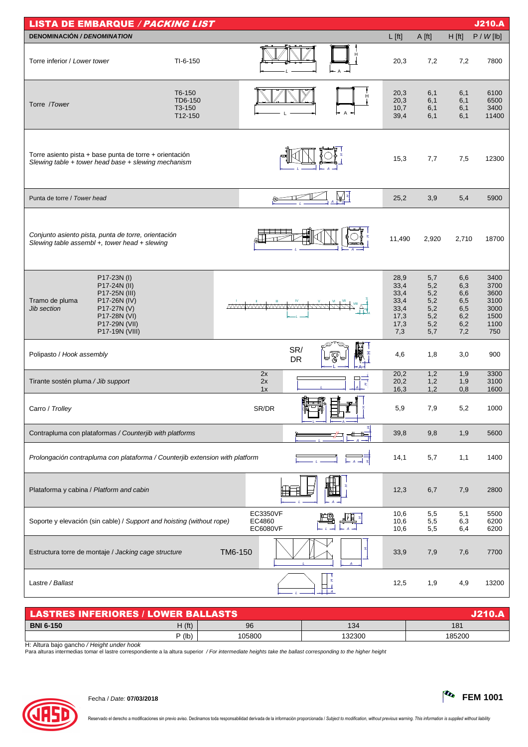| <b>LISTA DE EMBARQUE / PACKING LIST</b>                                                                                                                         |         |                                |                      |                                                 |                                                             |                                                      |                                                      | <b>J210.A</b>                                               |
|-----------------------------------------------------------------------------------------------------------------------------------------------------------------|---------|--------------------------------|----------------------|-------------------------------------------------|-------------------------------------------------------------|------------------------------------------------------|------------------------------------------------------|-------------------------------------------------------------|
| <b>DENOMINACIÓN / DENOMINATION</b>                                                                                                                              |         |                                |                      |                                                 | $L$ [ft]                                                    | A [ft]                                               | H [ft]                                               | P / W[lb]                                                   |
| Torre inferior / Lower tower<br>TI-6-150                                                                                                                        |         |                                |                      |                                                 | 20,3                                                        | 7,2                                                  | 7,2                                                  | 7800                                                        |
| T6-150<br>TD6-150<br>Torre /Tower<br>T3-150<br>T12-150                                                                                                          |         |                                |                      |                                                 | 20,3<br>20,3<br>10,7<br>39,4                                | 6,1<br>6,1<br>6,1<br>6,1                             | 6,1<br>6,1<br>6,1<br>6,1                             | 6100<br>6500<br>3400<br>11400                               |
| Torre asiento pista + base punta de torre + orientación<br>Slewing table + tower head base + slewing mechanism                                                  |         |                                |                      |                                                 | 15,3                                                        | 7,7                                                  | 7,5                                                  | 12300                                                       |
| Punta de torre / Tower head                                                                                                                                     |         |                                |                      | ₩₹                                              | 25,2                                                        | 3,9                                                  | 5,4                                                  | 5900                                                        |
| Conjunto asiento pista, punta de torre, orientación<br>Slewing table assembl +, tower head + slewing                                                            |         |                                |                      |                                                 | 11,490                                                      | 2,920                                                | 2,710                                                | 18700                                                       |
| P17-23N (I)<br>P17-24N (II)<br>P17-25N (III)<br>P17-26N (IV)<br>Tramo de pluma<br>P17-27N (V)<br>Jib section<br>P17-28N (VI)<br>P17-29N (VII)<br>P17-19N (VIII) |         |                                | <u>MWWWWWWWWWWWW</u> |                                                 | 28,9<br>33,4<br>33,4<br>33,4<br>33,4<br>17,3<br>17,3<br>7,3 | 5,7<br>5,2<br>5,2<br>5,2<br>5,2<br>5,2<br>5,2<br>5,7 | 6,6<br>6,3<br>6,6<br>6,5<br>6,5<br>6,2<br>6,2<br>7,2 | 3400<br>3700<br>3600<br>3100<br>3000<br>1500<br>1100<br>750 |
| Polipasto / Hook assembly                                                                                                                                       |         |                                | SR/<br><b>DR</b>     | H                                               | 4,6                                                         | 1,8                                                  | 3,0                                                  | 900                                                         |
| Tirante sostén pluma / Jib support                                                                                                                              |         | 2x<br>2x<br>1x                 |                      | x                                               | 20,2<br>20,2<br>16,3                                        | 1,2<br>1,2<br>1,2                                    | 1,9<br>1,9<br>0,8                                    | 3300<br>3100<br>1600                                        |
| Carro / Trolley                                                                                                                                                 |         | SR/DR                          |                      |                                                 | 5,9                                                         | 7,9                                                  | 5,2                                                  | 1000                                                        |
| Contrapluma con plataformas / Counterjib with platforms                                                                                                         |         |                                |                      |                                                 | 39,8                                                        | 9,8                                                  | 1,9                                                  | 5600                                                        |
| Prolongación contrapluma con plataforma / Counterjib extension with platform                                                                                    |         |                                |                      |                                                 | 14,1                                                        | 5,7                                                  | 1,1                                                  | 1400                                                        |
| Plataforma y cabina / Platform and cabin                                                                                                                        |         |                                |                      |                                                 | 12,3                                                        | 6,7                                                  | 7,9                                                  | 2800                                                        |
| Soporte y elevación (sin cable) / Support and hoisting (without rope)                                                                                           |         | EC3350VF<br>EC4860<br>EC6080VF |                      |                                                 | 10,6<br>10,6<br>10,6                                        | 5,5<br>5,5<br>5,5                                    | 5,1<br>6,3<br>6,4                                    | 5500<br>6200<br>6200                                        |
| Estructura torre de montaje / Jacking cage structure                                                                                                            | TM6-150 |                                |                      | x                                               | 33,9                                                        | 7,9                                                  | 7,6                                                  | 7700                                                        |
| Lastre / Ballast                                                                                                                                                |         |                                |                      | $\mathbf{r}$<br>□ ।<br>$\perp$ $\perp$ $\wedge$ | 12,5                                                        | 1,9                                                  | 4,9                                                  | 13200                                                       |

| <b>LASTRES INFERIORES / LOWER BALLASTS</b> |       |        |        |        |  |  |  |  |
|--------------------------------------------|-------|--------|--------|--------|--|--|--|--|
| <b>BNI 6-150</b>                           | H(ft) | 96     | 134    | 181    |  |  |  |  |
|                                            | P( b) | 105800 | 132300 | 185200 |  |  |  |  |

H: Altura bajo gancho / Height under hook<br>Para alturas intermedias tomar el lastre correspondiente a la altura superior */ For intermediate heights take the ballast corresponding to the higher heigh*i